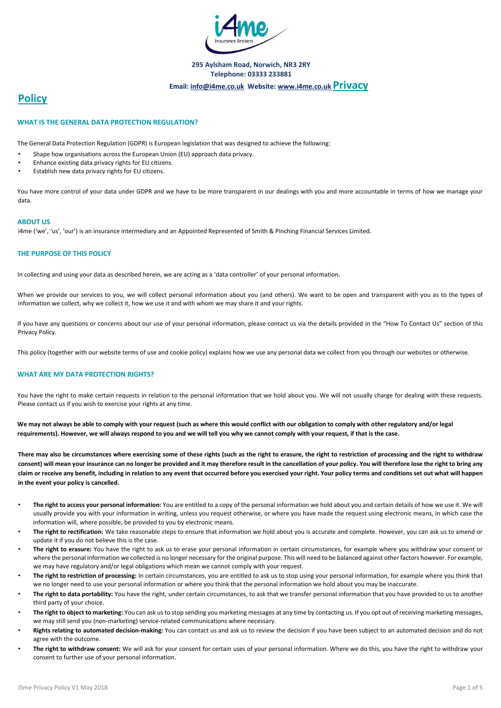

#### **295 Aylsham Road, Norwich, NR3 2RY Telephone: 03333 233881**

# **Email: info@i4me.co.uk Website[: www.i4me.co.uk](http://www.i4me.co.uk/) [P](http://www.i4me.co.uk/)rivacy**

# **Policy**

#### **WHAT IS THE GENERAL DATA PROTECTION REGULATION?**

The General Data Protection Regulation (GDPR) is European legislation that was designed to achieve the following:

- Shape how organisations across the European Union (EU) approach data privacy.
- Enhance existing data privacy rights for EU citizens.
- Establish new data privacy rights for EU citizens.

You have more control of your data under GDPR and we have to be more transparent in our dealings with you and more accountable in terms of how we manage your data.

#### **ABOUT US**

i4me ('we', 'us', 'our') is an insurance intermediary and an Appointed Represented of Smith & Pinching Financial Services Limited.

## **THE PURPOSE OF THIS POLICY**

In collecting and using your data as described herein, we are acting as a 'data controller' of your personal information.

When we provide our services to you, we will collect personal information about you (and others). We want to be open and transparent with you as to the types of information we collect, why we collect it, how we use it and with whom we may share it and your rights.

If you have any questions or concerns about our use of your personal information, please contact us via the details provided in the "How To Contact Us" section of this Privacy Policy.

This policy (together with our website terms of use and cookie policy) explains how we use any personal data we collect from you through our websites or otherwise.

#### **WHAT ARE MY DATA PROTECTION RIGHTS?**

You have the right to make certain requests in relation to the personal information that we hold about you. We will not usually charge for dealing with these requests. Please contact us if you wish to exercise your rights at any time.

We may not always be able to comply with your request (such as where this would conflict with our obligation to comply with other regulatory and/or legal **requirements). However, we will always respond to you and we will tell you why we cannot comply with your request, if that is the case.** 

**There may also be circumstances where exercising some of these rights (such as the right to erasure, the right to restriction of processing and the right to withdraw consent) will mean your insurance can no longer be provided and it may therefore result in the cancellation of your policy. You will therefore lose the right to bring any claim or receive any benefit, including in relation to any event that occurred before you exercised your right. Your policy terms and conditions set out what will happen in the event your policy is cancelled.** 

- **The right to access your personal information:** You are entitled to a copy of the personal information we hold about you and certain details of how we use it. We will usually provide you with your information in writing, unless you request otherwise, or where you have made the request using electronic means, in which case the information will, where possible, be provided to you by electronic means.
- **The right to rectification:** We take reasonable steps to ensure that information we hold about you is accurate and complete. However, you can ask us to amend or update it if you do not believe this is the case.
- **The right to erasure:** You have the right to ask us to erase your personal information in certain circumstances, for example where you withdraw your consent or where the personal information we collected is no longer necessary for the original purpose. This will need to be balanced against other factors however. For example, we may have regulatory and/or legal obligations which mean we cannot comply with your request.
- **The right to restriction of processing:** In certain circumstances, you are entitled to ask us to stop using your personal information, for example where you think that we no longer need to use your personal information or where you think that the personal information we hold about you may be inaccurate.
- The right to data portability: You have the right, under certain circumstances, to ask that we transfer personal information that you have provided to us to another third party of your choice.
- **The right to object to marketing:** You can ask us to stop sending you marketing messages at any time by contacting us. If you opt out of receiving marketing messages, we may still send you (non-marketing) service-related communications where necessary.
- **Rights relating to automated decision-making:** You can contact us and ask us to review the decision if you have been subject to an automated decision and do not agree with the outcome.
- The right to withdraw consent: We will ask for your consent for certain uses of your personal information. Where we do this, you have the right to withdraw your consent to further use of your personal information.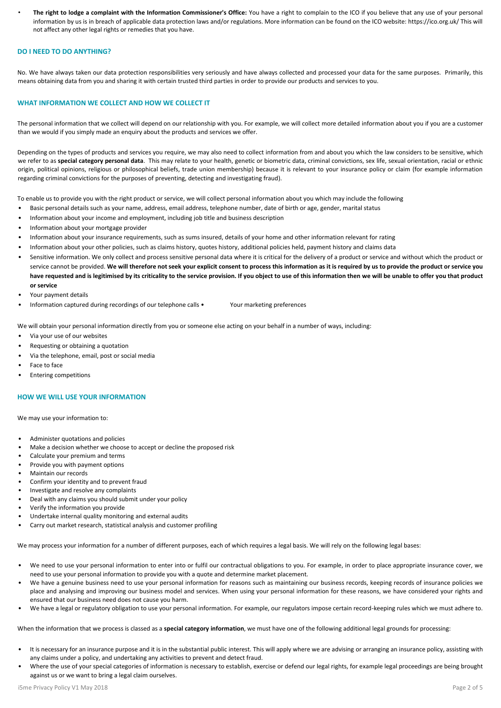• **The right to lodge a complaint with the Information Commissioner's Office:** You have a right to complain to the ICO if you believe that any use of your personal information by us is in breach of applicable data protection laws and/or regulations. More information can be found on the ICO website: https://ico.org.uk/ This will not affect any other legal rights or remedies that you have.

#### **DO I NEED TO DO ANYTHING?**

No. We have always taken our data protection responsibilities very seriously and have always collected and processed your data for the same purposes. Primarily, this means obtaining data from you and sharing it with certain trusted third parties in order to provide our products and services to you.

#### **WHAT INFORMATION WE COLLECT AND HOW WE COLLECT IT**

The personal information that we collect will depend on our relationship with you. For example, we will collect more detailed information about you if you are a customer than we would if you simply made an enquiry about the products and services we offer.

Depending on the types of products and services you require, we may also need to collect information from and about you which the law considers to be sensitive, which we refer to as **special category personal data**. This may relate to your health, genetic or biometric data, criminal convictions, sex life, sexual orientation, racial or ethnic origin, political opinions, religious or philosophical beliefs, trade union membership) because it is relevant to your insurance policy or claim (for example information regarding criminal convictions for the purposes of preventing, detecting and investigating fraud).

To enable us to provide you with the right product or service, we will collect personal information about you which may include the following

- Basic personal details such as your name, address, email address, telephone number, date of birth or age, gender, marital status
- Information about your income and employment, including job title and business description
- Information about your mortgage provider
- Information about your insurance requirements, such as sums insured, details of your home and other information relevant for rating
- Information about your other policies, such as claims history, quotes history, additional policies held, payment history and claims data
- Sensitive information. We only collect and process sensitive personal data where it is critical for the delivery of a product or service and without which the product or service cannot be provided. We will therefore not seek your explicit consent to process this information as it is required by us to provide the product or service you **have requested and is legitimised by its criticality to the service provision. If you object to use of this information then we will be unable to offer you that product or service**
- Your payment details
- Information captured during recordings of our telephone calls Your marketing preferences

We will obtain your personal information directly from you or someone else acting on your behalf in a number of ways, including:

- Via your use of our websites
- Requesting or obtaining a quotation
- Via the telephone, email, post or social media
- Face to face
- Entering competitions

#### **HOW WE WILL USE YOUR INFORMATION**

We may use your information to:

- Administer quotations and policies
- Make a decision whether we choose to accept or decline the proposed risk
- Calculate your premium and terms
- Provide you with payment options
- Maintain our records
- Confirm your identity and to prevent fraud
- Investigate and resolve any complaints
- Deal with any claims you should submit under your policy
- Verify the information you provide
- Undertake internal quality monitoring and external audits
- Carry out market research, statistical analysis and customer profiling

We may process your information for a number of different purposes, each of which requires a legal basis. We will rely on the following legal bases:

- We need to use your personal information to enter into or fulfil our contractual obligations to you. For example, in order to place appropriate insurance cover, we need to use your personal information to provide you with a quote and determine market placement.
- We have a genuine business need to use your personal information for reasons such as maintaining our business records, keeping records of insurance policies we place and analysing and improving our business model and services. When using your personal information for these reasons, we have considered your rights and ensured that our business need does not cause you harm.
- We have a legal or regulatory obligation to use your personal information. For example, our regulators impose certain record-keeping rules which we must adhere to.

When the information that we process is classed as a **special category information**, we must have one of the following additional legal grounds for processing:

- It is necessary for an insurance purpose and it is in the substantial public interest. This will apply where we are advising or arranging an insurance policy, assisting with any claims under a policy, and undertaking any activities to prevent and detect fraud.
- Where the use of your special categories of information is necessary to establish, exercise or defend our legal rights, for example legal proceedings are being brought against us or we want to bring a legal claim ourselves.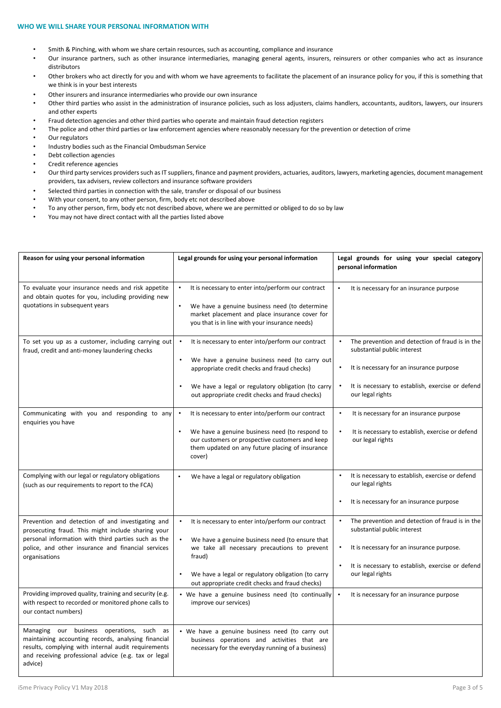#### **WHO WE WILL SHARE YOUR PERSONAL INFORMATION WITH**

- Smith & Pinching, with whom we share certain resources, such as accounting, compliance and insurance
- Our insurance partners, such as other insurance intermediaries, managing general agents, insurers, reinsurers or other companies who act as insurance distributors
- Other brokers who act directly for you and with whom we have agreements to facilitate the placement of an insurance policy for you, if this is something that we think is in your best interests
- Other insurers and insurance intermediaries who provide our own insurance
- Other third parties who assist in the administration of insurance policies, such as loss adjusters, claims handlers, accountants, auditors, lawyers, our insurers and other experts
- Fraud detection agencies and other third parties who operate and maintain fraud detection registers
- The police and other third parties or law enforcement agencies where reasonably necessary for the prevention or detection of crime
- Our regulators
- Industry bodies such as the Financial Ombudsman Service
- Debt collection agencies
- Credit reference agencies
- Our third party services providers such as IT suppliers, finance and payment providers, actuaries, auditors, lawyers, marketing agencies, document management providers, tax advisers, review collectors and insurance software providers
- Selected third parties in connection with the sale, transfer or disposal of our business
- With your consent, to any other person, firm, body etc not described above
- To any other person, firm, body etc not described above, where we are permitted or obliged to do so by law
- You may not have direct contact with all the parties listed above

| Reason for using your personal information                                                                                                                                                                                            | Legal grounds for using your personal information                                                                                                                                                                                                                                                  | Legal grounds for using your special category<br>personal information                                                                                                                               |
|---------------------------------------------------------------------------------------------------------------------------------------------------------------------------------------------------------------------------------------|----------------------------------------------------------------------------------------------------------------------------------------------------------------------------------------------------------------------------------------------------------------------------------------------------|-----------------------------------------------------------------------------------------------------------------------------------------------------------------------------------------------------|
| To evaluate your insurance needs and risk appetite<br>and obtain quotes for you, including providing new<br>quotations in subsequent years                                                                                            | It is necessary to enter into/perform our contract<br>$\bullet$<br>We have a genuine business need (to determine<br>market placement and place insurance cover for<br>you that is in line with your insurance needs)                                                                               | It is necessary for an insurance purpose                                                                                                                                                            |
| To set you up as a customer, including carrying out<br>fraud, credit and anti-money laundering checks                                                                                                                                 | It is necessary to enter into/perform our contract<br>We have a genuine business need (to carry out<br>appropriate credit checks and fraud checks)<br>We have a legal or regulatory obligation (to carry<br>$\bullet$<br>out appropriate credit checks and fraud checks)                           | The prevention and detection of fraud is in the<br>substantial public interest<br>It is necessary for an insurance purpose<br>It is necessary to establish, exercise or defend<br>our legal rights  |
| Communicating with you and responding to any<br>enquiries you have                                                                                                                                                                    | It is necessary to enter into/perform our contract<br>$\bullet$<br>We have a genuine business need (to respond to<br>our customers or prospective customers and keep<br>them updated on any future placing of insurance<br>cover)                                                                  | It is necessary for an insurance purpose<br>It is necessary to establish, exercise or defend<br>our legal rights                                                                                    |
| Complying with our legal or regulatory obligations<br>(such as our requirements to report to the FCA)                                                                                                                                 | We have a legal or regulatory obligation                                                                                                                                                                                                                                                           | It is necessary to establish, exercise or defend<br>our legal rights<br>It is necessary for an insurance purpose                                                                                    |
| Prevention and detection of and investigating and<br>prosecuting fraud. This might include sharing your<br>personal information with third parties such as the<br>police, and other insurance and financial services<br>organisations | It is necessary to enter into/perform our contract<br>$\bullet$<br>$\bullet$<br>We have a genuine business need (to ensure that<br>we take all necessary precautions to prevent<br>fraud)<br>We have a legal or regulatory obligation (to carry<br>out appropriate credit checks and fraud checks) | The prevention and detection of fraud is in the<br>substantial public interest<br>It is necessary for an insurance purpose.<br>It is necessary to establish, exercise or defend<br>our legal rights |
| Providing improved quality, training and security (e.g.<br>with respect to recorded or monitored phone calls to<br>our contact numbers)                                                                                               | • We have a genuine business need (to continually<br>improve our services)                                                                                                                                                                                                                         | It is necessary for an insurance purpose                                                                                                                                                            |
| Managing our business operations, such as<br>maintaining accounting records, analysing financial<br>results, complying with internal audit requirements<br>and receiving professional advice (e.g. tax or legal<br>advice)            | • We have a genuine business need (to carry out<br>business operations and activities that are<br>necessary for the everyday running of a business)                                                                                                                                                |                                                                                                                                                                                                     |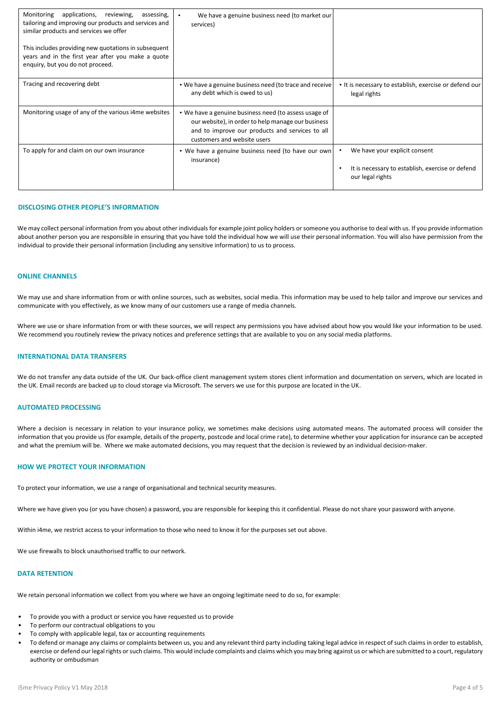| Monitoring applications, reviewing,<br>assessing,<br>tailoring and improving our products and services and<br>similar products and services we offer<br>This includes providing new quotations in subsequent<br>years and in the first year after you make a quote<br>enquiry, but you do not proceed. | We have a genuine business need (to market our<br>services)                                                                                                                                   |                                                                                                       |
|--------------------------------------------------------------------------------------------------------------------------------------------------------------------------------------------------------------------------------------------------------------------------------------------------------|-----------------------------------------------------------------------------------------------------------------------------------------------------------------------------------------------|-------------------------------------------------------------------------------------------------------|
| Tracing and recovering debt                                                                                                                                                                                                                                                                            | . We have a genuine business need (to trace and receive<br>any debt which is owed to us)                                                                                                      | • It is necessary to establish, exercise or defend our<br>legal rights                                |
| Monitoring usage of any of the various i4me websites                                                                                                                                                                                                                                                   | • We have a genuine business need (to assess usage of<br>our website), in order to help manage our business<br>and to improve our products and services to all<br>customers and website users |                                                                                                       |
| To apply for and claim on our own insurance                                                                                                                                                                                                                                                            | • We have a genuine business need (to have our own<br>insurance)                                                                                                                              | We have your explicit consent<br>It is necessary to establish, exercise or defend<br>our legal rights |

#### **DISCLOSING OTHER PEOPLE'S INFORMATION**

We may collect personal information from you about other individuals for example joint policy holders or someone you authorise to deal with us. If you provide information about another person you are responsible in ensuring that you have told the individual how we will use their personal information. You will also have permission from the individual to provide their personal information (including any sensitive information) to us to process.

#### **ONLINE CHANNELS**

We may use and share information from or with online sources, such as websites, social media. This information may be used to help tailor and improve our services and communicate with you effectively, as we know many of our customers use a range of media channels.

Where we use or share information from or with these sources, we will respect any permissions you have advised about how you would like your information to be used. We recommend you routinely review the privacy notices and preference settings that are available to you on any social media platforms.

#### **INTERNATIONAL DATA TRANSFERS**

We do not transfer any data outside of the UK. Our back-office client management system stores client information and documentation on servers, which are located in the UK. Email records are backed up to cloud storage via Microsoft. The servers we use for this purpose are located in the UK.

#### **AUTOMATED PROCESSING**

Where a decision is necessary in relation to your insurance policy, we sometimes make decisions using automated means. The automated process will consider the information that you provide us (for example, details of the property, postcode and local crime rate), to determine whether your application for insurance can be accepted and what the premium will be. Where we make automated decisions, you may request that the decision is reviewed by an individual decision-maker.

#### **HOW WE PROTECT YOUR INFORMATION**

To protect your information, we use a range of organisational and technical security measures.

Where we have given you (or you have chosen) a password, you are responsible for keeping this it confidential. Please do not share your password with anyone.

Within i4me, we restrict access to your information to those who need to know it for the purposes set out above.

We use firewalls to block unauthorised traffic to our network.

#### **DATA RETENTION**

We retain personal information we collect from you where we have an ongoing legitimate need to do so, for example:

- To provide you with a product or service you have requested us to provide
- To perform our contractual obligations to you
- To comply with applicable legal, tax or accounting requirements
- To defend or manage any claims or complaints between us, you and any relevant third party including taking legal advice in respect of such claims in order to establish, exercise or defend our legal rights or such claims. This would include complaints and claims which you may bring against us or which are submitted to a court, regulatory authority or ombudsman